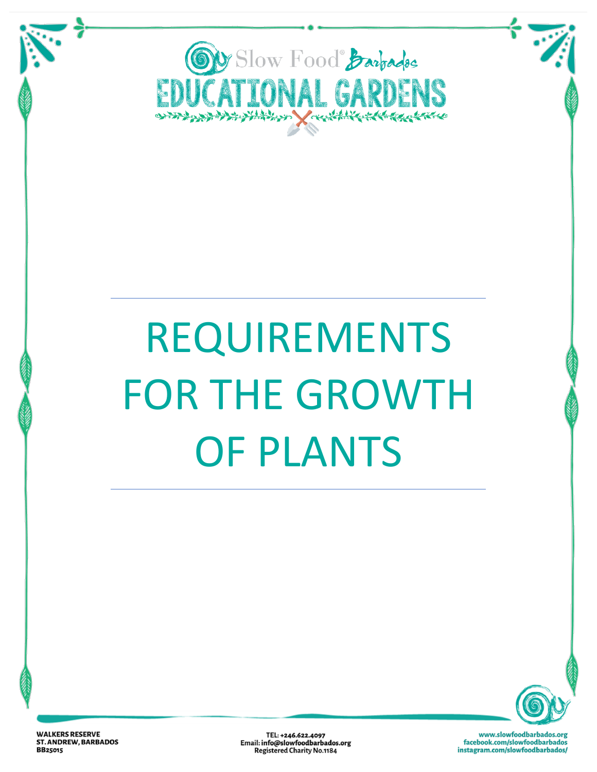

# REQUIREMENTS FOR THE GROWTH OF PLANTS



**WALKERS RESERVE ST. ANDREW, BARBADOS BB25015** 

TEL: +246.622.4097 Email: info@slowfoodbarbados.org **Registered Charity No.1184**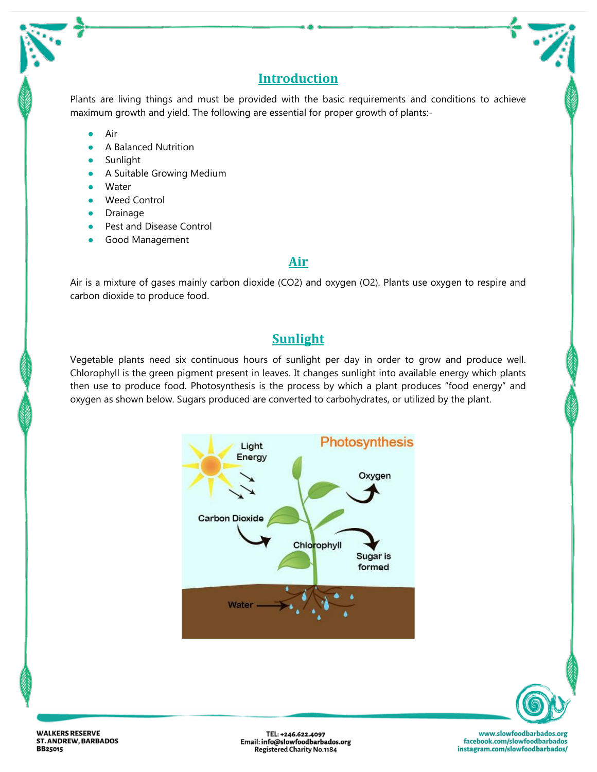## **Introduction**

Plants are living things and must be provided with the basic requirements and conditions to achieve maximum growth and yield. The following are essential for proper growth of plants:-

- Air
- A Balanced Nutrition
- Sunlight
- **•** A Suitable Growing Medium
- Water
- Weed Control
- **Drainage**
- Pest and Disease Control
- Good Management

## **Air**

Air is a mixture of gases mainly carbon dioxide (CO2) and oxygen (O2). Plants use oxygen to respire and carbon dioxide to produce food.

## **Sunlight**

Vegetable plants need six continuous hours of sunlight per day in order to grow and produce well. Chlorophyll is the green pigment present in leaves. It changes sunlight into available energy which plants then use to produce food. Photosynthesis is the process by which a plant produces "food energy" and oxygen as shown below. Sugars produced are converted to carbohydrates, or utilized by the plant.





**WALKERS RESERVE ST. ANDREW, BARBADOS BB25015** 

TEL: +246.622.4097 Email: info@slowfoodbarbados.org **Registered Charity No.1184**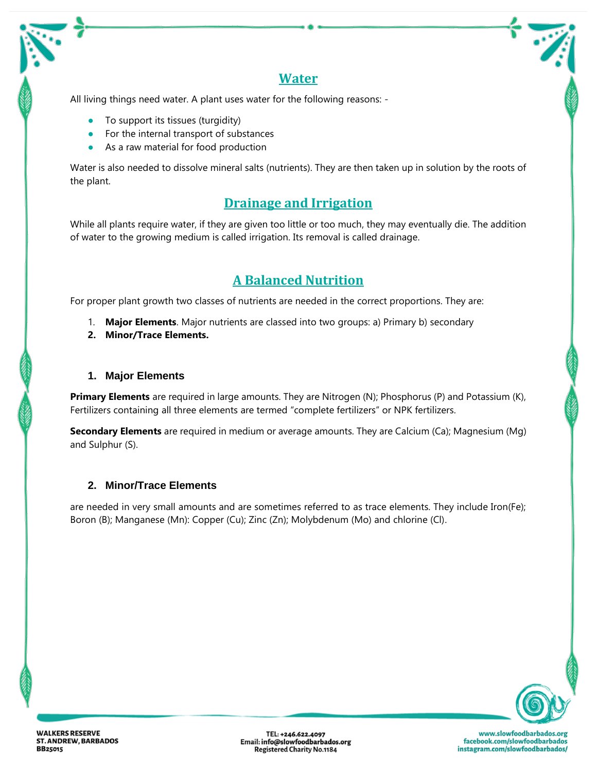## **Water**

All living things need water. A plant uses water for the following reasons: -

- To support its tissues (turgidity)
- For the internal transport of substances
- As a raw material for food production

Water is also needed to dissolve mineral salts (nutrients). They are then taken up in solution by the roots of the plant.

## **Drainage and Irrigation**

While all plants require water, if they are given too little or too much, they may eventually die. The addition of water to the growing medium is called irrigation. Its removal is called drainage.

## **A Balanced Nutrition**

For proper plant growth two classes of nutrients are needed in the correct proportions. They are:

- 1. **Major Elements**. Major nutrients are classed into two groups: a) Primary b) secondary
- **2. Minor/Trace Elements.**

#### **1. Major Elements**

**Primary Elements** are required in large amounts. They are Nitrogen (N); Phosphorus (P) and Potassium (K), Fertilizers containing all three elements are termed "complete fertilizers" or NPK fertilizers.

**Secondary Elements** are required in medium or average amounts. They are Calcium (Ca); Magnesium (Mg) and Sulphur (S).

### **2. Minor/Trace Elements**

are needed in very small amounts and are sometimes referred to as trace elements. They include Iron(Fe); Boron (B); Manganese (Mn): Copper (Cu); Zinc (Zn); Molybdenum (Mo) and chlorine (Cl).



TEL: +246.622.4097 Email: info@slowfoodbarbados.org **Registered Charity No.1184**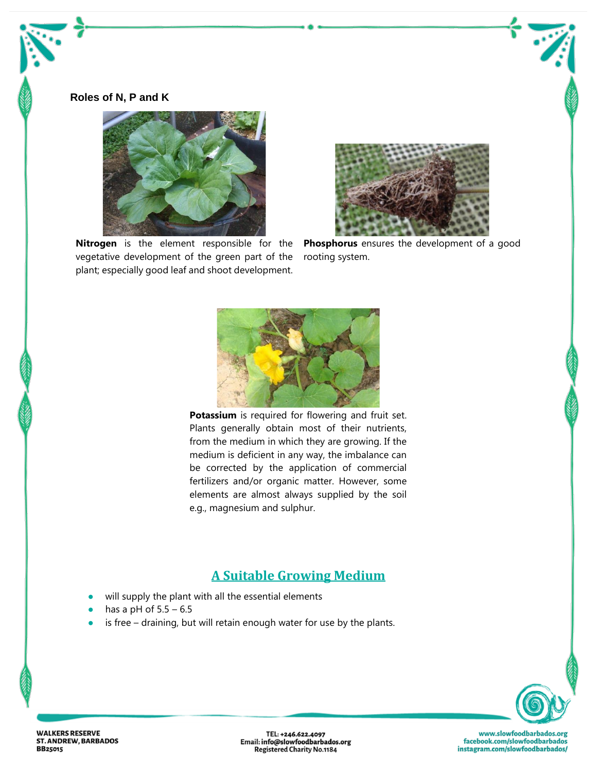#### **Roles of N, P and K**



**Nitrogen** is the element responsible for the vegetative development of the green part of the plant; especially good leaf and shoot development.



**Phosphorus** ensures the development of a good rooting system.



**Potassium** is required for flowering and fruit set. Plants generally obtain most of their nutrients, from the medium in which they are growing. If the medium is deficient in any way, the imbalance can be corrected by the application of commercial fertilizers and/or organic matter. However, some elements are almost always supplied by the soil e.g., magnesium and sulphur.

## **A Suitable Growing Medium**

- will supply the plant with all the essential elements
- has a pH of  $5.5 6.5$
- is free draining, but will retain enough water for use by the plants.



**WALKERS RESERVE ST. ANDREW, BARBADOS BB25015** 

TEL: +246.622.4097<br>Email: info@slowfoodbarbados.org<br>Registered Charity No.1184